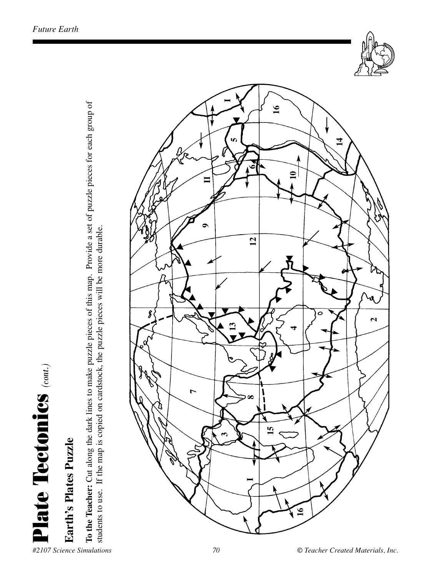